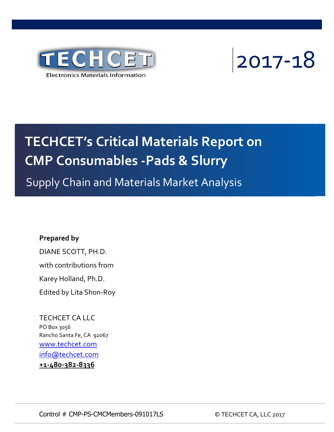



# **TECHCET's Critical Materials Report on CMP Consumables ‐Pads & Slurry**

Supply Chain and Materials Market Analysis

## **Prepared by**

DIANE SCOTT, PH.D. with contributions from Karey Holland, Ph.D. Edited by Lita Shon‐Roy

TECHCET CA LLC PO Box 3056 Rancho Santa Fe, CA 92067 www.techcet.com info@techcet.com **+1‐480‐382‐8336**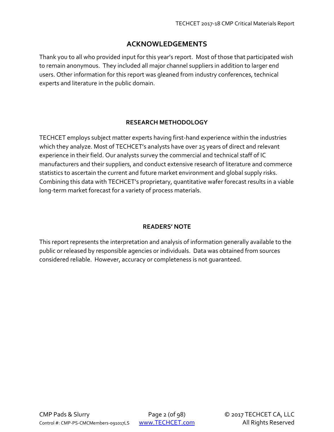## **ACKNOWLEDGEMENTS**

Thank you to all who provided input for this year's report. Most of those that participated wish to remain anonymous. They included all major channel suppliers in addition to larger end users. Other information for this report was gleaned from industry conferences, technical experts and literature in the public domain.

#### **RESEARCH METHODOLOGY**

TECHCET employs subject matter experts having first‐hand experience within the industries which they analyze. Most of TECHCET's analysts have over 25 years of direct and relevant experience in their field. Our analysts survey the commercial and technical staff of IC manufacturers and their suppliers, and conduct extensive research of literature and commerce statistics to ascertain the current and future market environment and global supply risks. Combining this data with TECHCET's proprietary, quantitative wafer forecast results in a viable long‐term market forecast for a variety of process materials.

#### **READERS' NOTE**

This report represents the interpretation and analysis of information generally available to the public or released by responsible agencies or individuals. Data was obtained from sources considered reliable. However, accuracy or completeness is not guaranteed.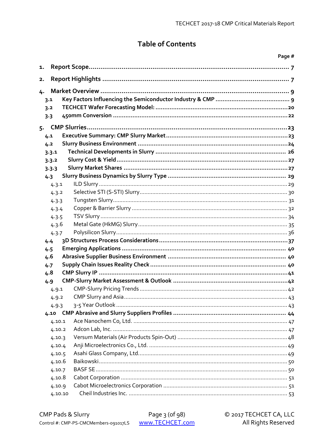# **Table of Contents**

|    |         |  | Page # |  |
|----|---------|--|--------|--|
| 1. |         |  |        |  |
| 2. |         |  |        |  |
| 4. |         |  |        |  |
|    | 3.1     |  |        |  |
|    | 3.2     |  |        |  |
|    | 3.3     |  |        |  |
|    |         |  |        |  |
|    |         |  |        |  |
|    | 4.1     |  |        |  |
|    | 4.2     |  |        |  |
|    | 3.3.1   |  |        |  |
|    | 3.3.2   |  |        |  |
|    | 3.3.3   |  |        |  |
|    | 4.3     |  |        |  |
|    | 4.3.1   |  |        |  |
|    | 4.3.2   |  |        |  |
|    | 4.3.3   |  |        |  |
|    | 4.3.4   |  |        |  |
|    | 4.3.5   |  |        |  |
|    | 4.3.6   |  |        |  |
|    | 4.3.7   |  |        |  |
|    | 4.4     |  |        |  |
|    | 4.5     |  |        |  |
|    | 4.6     |  |        |  |
|    | 4.7     |  |        |  |
|    | 4.8     |  |        |  |
|    | 4.9     |  |        |  |
|    | 4.9.1   |  |        |  |
|    | 4.9.2   |  |        |  |
|    | 4.9.3   |  |        |  |
|    | 4.10    |  |        |  |
|    | 4.10.1  |  |        |  |
|    | 4.10.2  |  |        |  |
|    | 4.10.3  |  |        |  |
|    | 4.10.4  |  |        |  |
|    | 4.10.5  |  |        |  |
|    | 4.10.6  |  |        |  |
|    | 4.10.7  |  |        |  |
|    | 4.10.8  |  |        |  |
|    | 4.10.9  |  |        |  |
|    | 4.10.10 |  |        |  |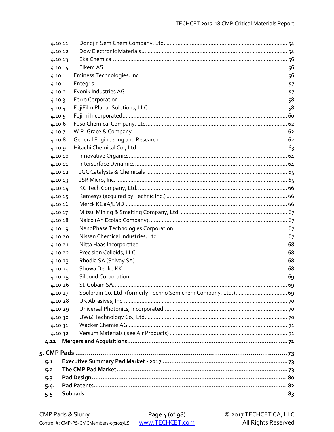|         | 4.10.11 |  |
|---------|---------|--|
|         | 4.10.12 |  |
| 4.10.13 |         |  |
|         | 4.10.14 |  |
| 4.10.1  |         |  |
| 4.10.1  |         |  |
| 4.10.2  |         |  |
| 4.10.3  |         |  |
| 4.10.4  |         |  |
| 4.10.5  |         |  |
| 4.10.6  |         |  |
| 4.10.7  |         |  |
| 4.10.8  |         |  |
| 4.10.9  |         |  |
|         | 4.10.10 |  |
| 4.10.11 |         |  |
|         | 4.10.12 |  |
| 4.10.13 |         |  |
|         | 4.10.14 |  |
|         | 4.10.15 |  |
|         | 4.10.16 |  |
| 4.10.17 |         |  |
|         | 4.10.18 |  |
| 4.10.19 |         |  |
|         | 4.10.20 |  |
|         | 4.10.21 |  |
|         | 4.10.22 |  |
|         | 4.10.23 |  |
|         | 4.10.24 |  |
|         | 4.10.25 |  |
|         | 4.10.26 |  |
|         | 4.10.27 |  |
|         | 4.10.28 |  |
|         | 4.10.29 |  |
|         | 4.10.30 |  |
| 4.10.31 |         |  |
|         | 4.10.32 |  |
| 4.11    |         |  |
|         |         |  |
| 5.1     |         |  |
| 5.2     |         |  |
| 5.3     |         |  |
| 5.4.    |         |  |
| $5.5 -$ |         |  |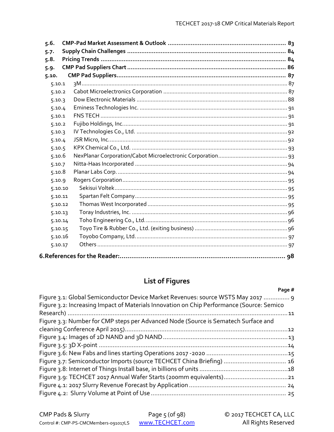| 5.6.    |  |
|---------|--|
| 5.7.    |  |
| 5.8.    |  |
| 5.9.    |  |
| 5.10.   |  |
| 5.10.1  |  |
| 5.10.2  |  |
| 5.10.3  |  |
| 5.10.4  |  |
| 5.10.1  |  |
| 5.10.2  |  |
| 5.10.3  |  |
| 5.10.4  |  |
| 5.10.5  |  |
| 5.10.6  |  |
| 5.10.7  |  |
| 5.10.8  |  |
| 5.10.9  |  |
| 5.10.10 |  |
| 5.10.11 |  |
| 5.10.12 |  |
| 5.10.13 |  |
| 5.10.14 |  |
| 5.10.15 |  |
| 5.10.16 |  |
| 5.10.17 |  |
|         |  |

# **List of Figures**

#### Page #

| Figure 3.1: Global Semiconductor Device Market Revenues: source WSTS May 2017  9<br>Figure 3.2: Increasing Impact of Materials Innovation on Chip Performance (Source: Semico |  |
|-------------------------------------------------------------------------------------------------------------------------------------------------------------------------------|--|
|                                                                                                                                                                               |  |
| Figure 3.3: Number for CMP steps per Advanced Node (Source is Sematech Surface and                                                                                            |  |
|                                                                                                                                                                               |  |
|                                                                                                                                                                               |  |
|                                                                                                                                                                               |  |
|                                                                                                                                                                               |  |
| Figure 3.7: Semiconductor Imports (source TECHCET China Briefing)  16                                                                                                         |  |
|                                                                                                                                                                               |  |
|                                                                                                                                                                               |  |
|                                                                                                                                                                               |  |
|                                                                                                                                                                               |  |
|                                                                                                                                                                               |  |

| CMP Pads & Slurry                     | Page $5$ (of $98$ ) | C 2017 TECHCET CA, LLC |
|---------------------------------------|---------------------|------------------------|
| Control #: CMP-PS-CMCMembers-091017LS | www.TECHCET.com     | All Rights Reserved    |